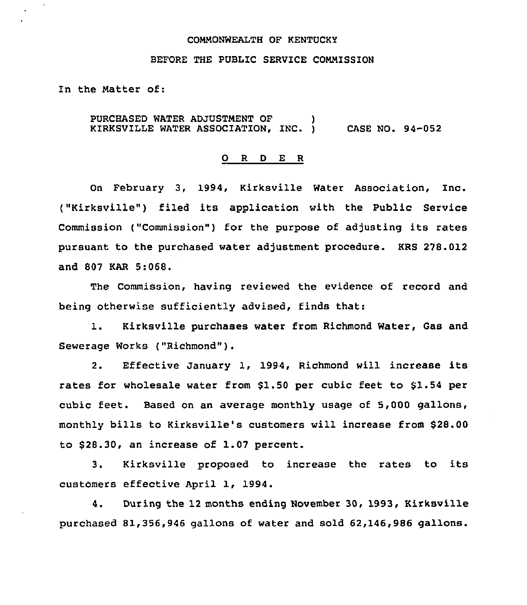## COMMONWEALTH OF KENTUCKY

## BEFORE THE PUBLIC SERVICE CONNISSION

In the Natter of:

PURCHASED WATER ADJUSTMENT OF ) KIRKSVILLE WATER ASSOCIATION, INC. ) CASE NO. 94-052

#### 0 <sup>R</sup> <sup>D</sup> E <sup>R</sup>

On February 3, 1994, Kirksville Water Association, Inc. ("Kirksville") filed its application with the Public Service Commission ("Commission") for the purpose of adjusting its rates pursuant to the purchased water adjustment procedure. KRS 278.012 and 807 KAR 5:068.

The Commission, having reviewed the evidence of record and being otherwise sufficiently advised, finds that:

1. Kirksville purchases water from Richmond Water, Gas and Sewerage Works ("Richmond" ).

2. Effective January 1, 1994, Richmond will increase its rates for wholesale water from \$1.50 per cubic feet to \$1.54 per cubic feet. Based on an average monthly usage of 5,000 gallons, monthly bills to Kirksville's customers will increase from \$28.00 to \$28.30, an increase of 1.07 percent.

3. Kirksville proposed to increase the rates to its customers effective April 1, 1994.

4. During the 12 months ending November 30, 1993, Kirksville purchased 81,356,946 gallons of water and sold 62,146,986 gallons.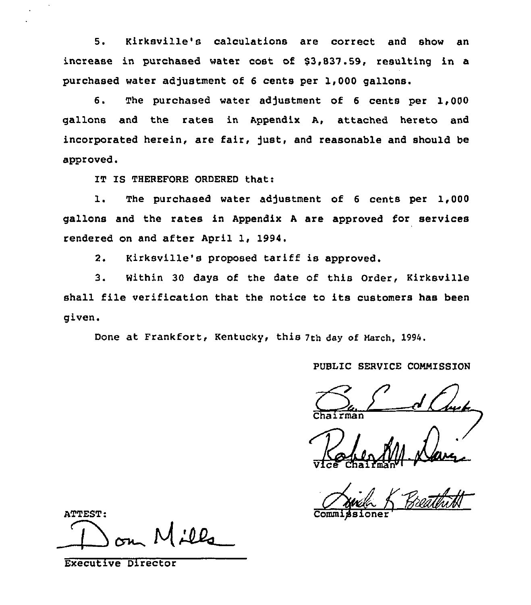5. Kirksville's calculations are correct and show an increase in purchased water cost of \$3,837 .59, resulting in a purchased water adjustment of 6 cents per 1,000 gallons.

6. The purchased water adjustment of 6 cents per 1,000 gallons and the rates in Appendix A, attached hereto and incorporated herein, are fair, just, and reasonable and should be approved.

IT IS THEREFORE ORDERED that:

1. The purchased water adjustment of <sup>6</sup> cents per 1,000 gallons and the rates in Appendix <sup>A</sup> are approved for services rendered on and after April 1, 1994.

2. Kirksville's proposed tariff is approved.

3. Within 30 days of the date of this Order, Kirksville shall file verification that the notice to its customers has been given.

Done at Frankfort, Kentucky, this 7th day of March, 1994.

# PUBLIC SERVICE COMMISSION

Vice chairman" <sup>i</sup>

ATTEST: c

Executive Director

Commidsione